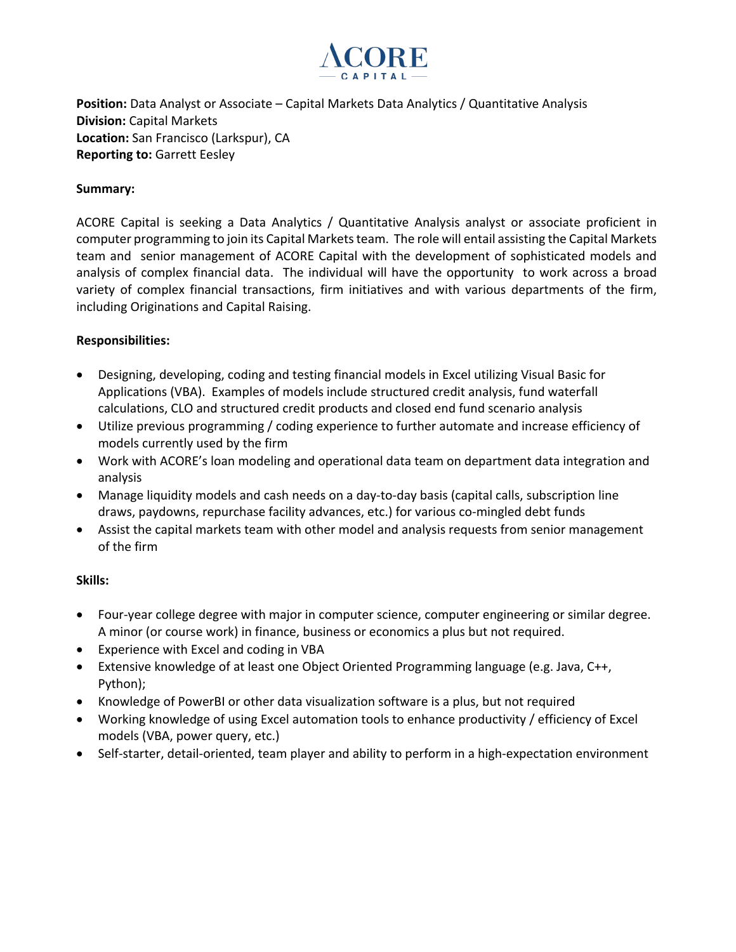

**Position:** Data Analyst or Associate – Capital Markets Data Analytics / Quantitative Analysis **Division:** Capital Markets **Location:** San Francisco (Larkspur), CA **Reporting to:** Garrett Eesley

## **Summary:**

ACORE Capital is seeking a Data Analytics / Quantitative Analysis analyst or associate proficient in computer programming to join its Capital Markets team. The role will entail assisting the Capital Markets team and senior management of ACORE Capital with the development of sophisticated models and analysis of complex financial data. The individual will have the opportunity to work across a broad variety of complex financial transactions, firm initiatives and with various departments of the firm, including Originations and Capital Raising.

## **Responsibilities:**

- Designing, developing, coding and testing financial models in Excel utilizing Visual Basic for Applications (VBA). Examples of models include structured credit analysis, fund waterfall calculations, CLO and structured credit products and closed end fund scenario analysis
- Utilize previous programming / coding experience to further automate and increase efficiency of models currently used by the firm
- Work with ACORE's loan modeling and operational data team on department data integration and analysis
- Manage liquidity models and cash needs on a day-to-day basis (capital calls, subscription line draws, paydowns, repurchase facility advances, etc.) for various co-mingled debt funds
- Assist the capital markets team with other model and analysis requests from senior management of the firm

## **Skills:**

- Four-year college degree with major in computer science, computer engineering or similar degree. A minor (or course work) in finance, business or economics a plus but not required.
- Experience with Excel and coding in VBA
- Extensive knowledge of at least one Object Oriented Programming language (e.g. Java, C++, Python);
- Knowledge of PowerBI or other data visualization software is a plus, but not required
- Working knowledge of using Excel automation tools to enhance productivity / efficiency of Excel models (VBA, power query, etc.)
- Self-starter, detail-oriented, team player and ability to perform in a high-expectation environment